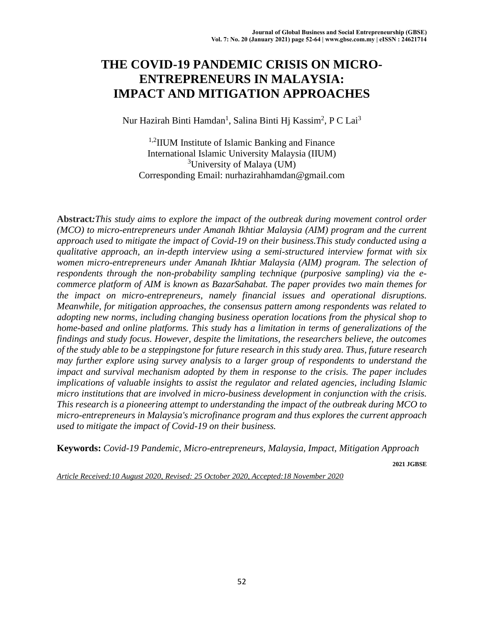# **THE COVID-19 PANDEMIC CRISIS ON MICRO-ENTREPRENEURS IN MALAYSIA: IMPACT AND MITIGATION APPROACHES**

Nur Hazirah Binti Hamdan<sup>1</sup>, Salina Binti Hj Kassim<sup>2</sup>, P C Lai<sup>3</sup>

1,2IIUM Institute of Islamic Banking and Finance International Islamic University Malaysia (IIUM) <sup>3</sup>University of Malaya (UM) Corresponding Email: nurhazirahhamdan@gmail.com

**Abstract***:This study aims to explore the impact of the outbreak during movement control order (MCO) to micro-entrepreneurs under Amanah Ikhtiar Malaysia (AIM) program and the current approach used to mitigate the impact of Covid-19 on their business.This study conducted using a qualitative approach, an in-depth interview using a semi-structured interview format with six women micro-entrepreneurs under Amanah Ikhtiar Malaysia (AIM) program. The selection of respondents through the non-probability sampling technique (purposive sampling) via the ecommerce platform of AIM is known as BazarSahabat. The paper provides two main themes for the impact on micro-entrepreneurs, namely financial issues and operational disruptions. Meanwhile, for mitigation approaches, the consensus pattern among respondents was related to adopting new norms, including changing business operation locations from the physical shop to home-based and online platforms. This study has a limitation in terms of generalizations of the findings and study focus. However, despite the limitations, the researchers believe, the outcomes of the study able to be a steppingstone for future research in this study area. Thus, future research may further explore using survey analysis to a larger group of respondents to understand the impact and survival mechanism adopted by them in response to the crisis. The paper includes implications of valuable insights to assist the regulator and related agencies, including Islamic micro institutions that are involved in micro-business development in conjunction with the crisis. This research is a pioneering attempt to understanding the impact of the outbreak during MCO to micro-entrepreneurs in Malaysia's microfinance program and thus explores the current approach used to mitigate the impact of Covid-19 on their business.*

**Keywords:** *Covid-19 Pandemic, Micro-entrepreneurs, Malaysia, Impact, Mitigation Approach*

**2021 JGBSE**

*Article Received:10 August 2020, Revised: 25 October 2020, Accepted:18 November 2020*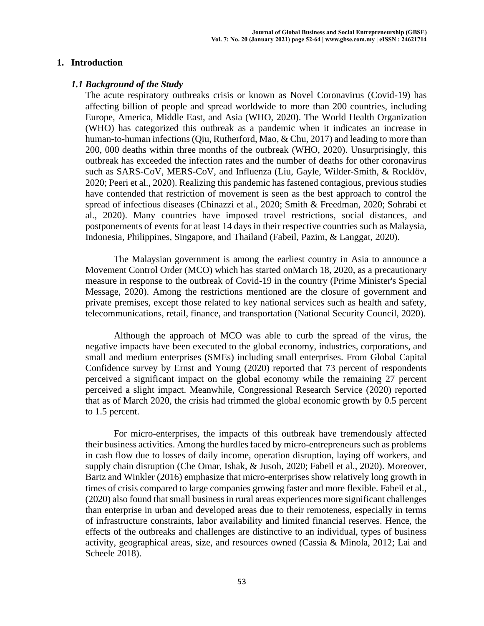## **1. Introduction**

#### *1.1 Background of the Study*

The acute respiratory outbreaks crisis or known as Novel Coronavirus (Covid-19) has affecting billion of people and spread worldwide to more than 200 countries, including Europe, America, Middle East, and Asia (WHO, 2020). The World Health Organization (WHO) has categorized this outbreak as a pandemic when it indicates an increase in human-to-human infections (Qiu, Rutherford, Mao, & Chu, 2017) and leading to more than 200, 000 deaths within three months of the outbreak (WHO, 2020). Unsurprisingly, this outbreak has exceeded the infection rates and the number of deaths for other coronavirus such as SARS-CoV, MERS-CoV, and Influenza (Liu, Gayle, Wilder-Smith, & Rocklöv, 2020; Peeri et al., 2020). Realizing this pandemic has fastened contagious, previous studies have contended that restriction of movement is seen as the best approach to control the spread of infectious diseases (Chinazzi et al., 2020; Smith & Freedman, 2020; Sohrabi et al., 2020). Many countries have imposed travel restrictions, social distances, and postponements of events for at least 14 days in their respective countries such as Malaysia, Indonesia, Philippines, Singapore, and Thailand (Fabeil, Pazim, & Langgat, 2020).

The Malaysian government is among the earliest country in Asia to announce a Movement Control Order (MCO) which has started onMarch 18, 2020, as a precautionary measure in response to the outbreak of Covid-19 in the country (Prime Minister's Special Message, 2020). Among the restrictions mentioned are the closure of government and private premises, except those related to key national services such as health and safety, telecommunications, retail, finance, and transportation (National Security Council, 2020).

Although the approach of MCO was able to curb the spread of the virus, the negative impacts have been executed to the global economy, industries, corporations, and small and medium enterprises (SMEs) including small enterprises. From Global Capital Confidence survey by Ernst and Young (2020) reported that 73 percent of respondents perceived a significant impact on the global economy while the remaining 27 percent perceived a slight impact. Meanwhile, Congressional Research Service (2020) reported that as of March 2020, the crisis had trimmed the global economic growth by 0.5 percent to 1.5 percent.

For micro-enterprises, the impacts of this outbreak have tremendously affected their business activities. Among the hurdles faced by micro-entrepreneurs such as problems in cash flow due to losses of daily income, operation disruption, laying off workers, and supply chain disruption (Che Omar, Ishak, & Jusoh, 2020; Fabeil et al., 2020). Moreover, Bartz and Winkler (2016) emphasize that micro-enterprises show relatively long growth in times of crisis compared to large companies growing faster and more flexible. Fabeil et al., (2020) also found that small business in rural areas experiences more significant challenges than enterprise in urban and developed areas due to their remoteness, especially in terms of infrastructure constraints, labor availability and limited financial reserves. Hence, the effects of the outbreaks and challenges are distinctive to an individual, types of business activity, geographical areas, size, and resources owned (Cassia & Minola, 2012; Lai and Scheele 2018).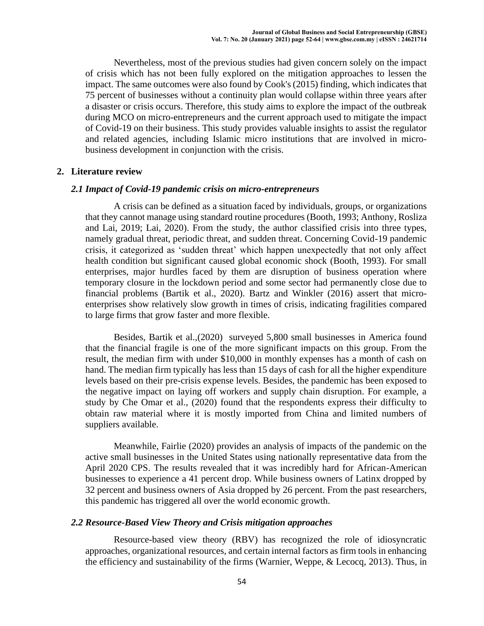Nevertheless, most of the previous studies had given concern solely on the impact of crisis which has not been fully explored on the mitigation approaches to lessen the impact. The same outcomes were also found by Cook's (2015) finding, which indicates that 75 percent of businesses without a continuity plan would collapse within three years after a disaster or crisis occurs. Therefore, this study aims to explore the impact of the outbreak during MCO on micro-entrepreneurs and the current approach used to mitigate the impact of Covid-19 on their business. This study provides valuable insights to assist the regulator and related agencies, including Islamic micro institutions that are involved in microbusiness development in conjunction with the crisis.

#### **2. Literature review**

#### *2.1 Impact of Covid-19 pandemic crisis on micro-entrepreneurs*

A crisis can be defined as a situation faced by individuals, groups, or organizations that they cannot manage using standard routine procedures (Booth, 1993; Anthony, Rosliza and Lai, 2019; Lai, 2020). From the study, the author classified crisis into three types, namely gradual threat, periodic threat, and sudden threat. Concerning Covid-19 pandemic crisis, it categorized as 'sudden threat' which happen unexpectedly that not only affect health condition but significant caused global economic shock (Booth, 1993). For small enterprises, major hurdles faced by them are disruption of business operation where temporary closure in the lockdown period and some sector had permanently close due to financial problems (Bartik et al., 2020). Bartz and Winkler (2016) assert that microenterprises show relatively slow growth in times of crisis, indicating fragilities compared to large firms that grow faster and more flexible.

Besides, Bartik et al.,(2020) surveyed 5,800 small businesses in America found that the financial fragile is one of the more significant impacts on this group. From the result, the median firm with under \$10,000 in monthly expenses has a month of cash on hand. The median firm typically has less than 15 days of cash for all the higher expenditure levels based on their pre-crisis expense levels. Besides, the pandemic has been exposed to the negative impact on laying off workers and supply chain disruption. For example, a study by Che Omar et al., (2020) found that the respondents express their difficulty to obtain raw material where it is mostly imported from China and limited numbers of suppliers available.

Meanwhile, Fairlie (2020) provides an analysis of impacts of the pandemic on the active small businesses in the United States using nationally representative data from the April 2020 CPS. The results revealed that it was incredibly hard for African-American businesses to experience a 41 percent drop. While business owners of Latinx dropped by 32 percent and business owners of Asia dropped by 26 percent. From the past researchers, this pandemic has triggered all over the world economic growth.

#### *2.2 Resource-Based View Theory and Crisis mitigation approaches*

Resource-based view theory (RBV) has recognized the role of idiosyncratic approaches, organizational resources, and certain internal factors as firm tools in enhancing the efficiency and sustainability of the firms (Warnier, Weppe, & Lecocq, 2013). Thus, in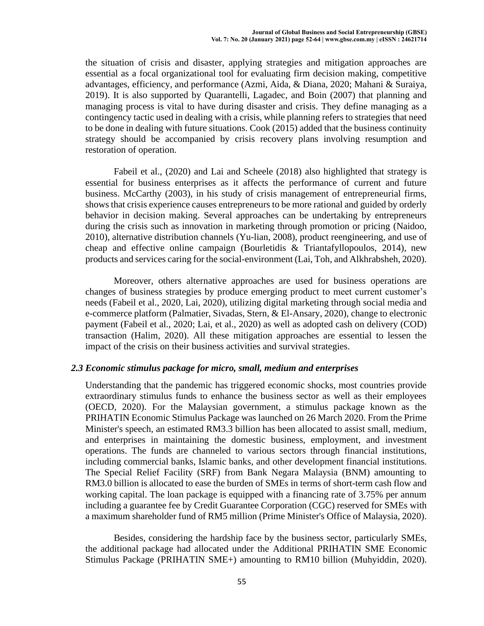the situation of crisis and disaster, applying strategies and mitigation approaches are essential as a focal organizational tool for evaluating firm decision making, competitive advantages, efficiency, and performance (Azmi, Aida, & Diana, 2020; Mahani & Suraiya, 2019). It is also supported by Quarantelli, Lagadec, and Boin (2007) that planning and managing process is vital to have during disaster and crisis. They define managing as a contingency tactic used in dealing with a crisis, while planning refers to strategies that need to be done in dealing with future situations. Cook (2015) added that the business continuity strategy should be accompanied by crisis recovery plans involving resumption and restoration of operation.

Fabeil et al., (2020) and Lai and Scheele (2018) also highlighted that strategy is essential for business enterprises as it affects the performance of current and future business. McCarthy (2003), in his study of crisis management of entrepreneurial firms, shows that crisis experience causes entrepreneurs to be more rational and guided by orderly behavior in decision making. Several approaches can be undertaking by entrepreneurs during the crisis such as innovation in marketing through promotion or pricing (Naidoo, 2010), alternative distribution channels (Yu-lian, 2008), product reengineering, and use of cheap and effective online campaign (Bourletidis & Triantafyllopoulos, 2014), new products and services caring for the social-environment (Lai, Toh, and Alkhrabsheh, 2020).

Moreover, others alternative approaches are used for business operations are changes of business strategies by produce emerging product to meet current customer's needs (Fabeil et al., 2020, Lai, 2020), utilizing digital marketing through social media and e-commerce platform (Palmatier, Sivadas, Stern, & El-Ansary, 2020), change to electronic payment (Fabeil et al., 2020; Lai, et al., 2020) as well as adopted cash on delivery (COD) transaction (Halim, 2020). All these mitigation approaches are essential to lessen the impact of the crisis on their business activities and survival strategies.

## *2.3 Economic stimulus package for micro, small, medium and enterprises*

Understanding that the pandemic has triggered economic shocks, most countries provide extraordinary stimulus funds to enhance the business sector as well as their employees (OECD, 2020). For the Malaysian government, a stimulus package known as the PRIHATIN Economic Stimulus Package was launched on 26 March 2020. From the Prime Minister's speech, an estimated RM3.3 billion has been allocated to assist small, medium, and enterprises in maintaining the domestic business, employment, and investment operations. The funds are channeled to various sectors through financial institutions, including commercial banks, Islamic banks, and other development financial institutions. The Special Relief Facility (SRF) from Bank Negara Malaysia (BNM) amounting to RM3.0 billion is allocated to ease the burden of SMEs in terms of short-term cash flow and working capital. The loan package is equipped with a financing rate of 3.75% per annum including a guarantee fee by Credit Guarantee Corporation (CGC) reserved for SMEs with a maximum shareholder fund of RM5 million (Prime Minister's Office of Malaysia, 2020).

Besides, considering the hardship face by the business sector, particularly SMEs, the additional package had allocated under the Additional PRIHATIN SME Economic Stimulus Package (PRIHATIN SME+) amounting to RM10 billion (Muhyiddin, 2020).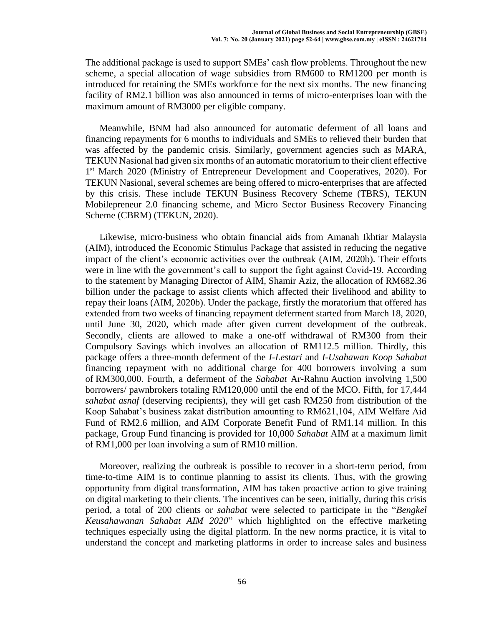The additional package is used to support SMEs' cash flow problems. Throughout the new scheme, a special allocation of wage subsidies from RM600 to RM1200 per month is introduced for retaining the SMEs workforce for the next six months. The new financing facility of RM2.1 billion was also announced in terms of micro-enterprises loan with the maximum amount of RM3000 per eligible company.

Meanwhile, BNM had also announced for automatic deferment of all loans and financing repayments for 6 months to individuals and SMEs to relieved their burden that was affected by the pandemic crisis. Similarly, government agencies such as MARA, TEKUN Nasional had given six months of an automatic moratorium to their client effective 1<sup>st</sup> March 2020 (Ministry of Entrepreneur Development and Cooperatives, 2020). For TEKUN Nasional, several schemes are being offered to micro-enterprises that are affected by this crisis. These include TEKUN Business Recovery Scheme (TBRS), TEKUN Mobilepreneur 2.0 financing scheme, and Micro Sector Business Recovery Financing Scheme (CBRM) (TEKUN, 2020).

Likewise, micro-business who obtain financial aids from Amanah Ikhtiar Malaysia (AIM), introduced the Economic Stimulus Package that assisted in reducing the negative impact of the client's economic activities over the outbreak (AIM, 2020b). Their efforts were in line with the government's call to support the fight against Covid-19. According to the statement by Managing Director of AIM, Shamir Aziz, the allocation of RM682.36 billion under the package to assist clients which affected their livelihood and ability to repay their loans (AIM, 2020b). Under the package, firstly the moratorium that offered has extended from two weeks of financing repayment deferment started from March 18, 2020, until June 30, 2020, which made after given current development of the outbreak. Secondly, clients are allowed to make a one-off withdrawal of RM300 from their Compulsory Savings which involves an allocation of RM112.5 million. Thirdly, this package offers a three-month deferment of the *I-Lestari* and *I-Usahawan Koop Sahabat* financing repayment with no additional charge for 400 borrowers involving a sum of RM300,000. Fourth, a deferment of the *Sahabat* Ar-Rahnu Auction involving 1,500 borrowers/ pawnbrokers totaling RM120,000 until the end of the MCO. Fifth, for 17,444 *sahabat asnaf* (deserving recipients), they will get cash RM250 from distribution of the Koop Sahabat's business zakat distribution amounting to RM621,104, AIM Welfare Aid Fund of RM2.6 million, and AIM Corporate Benefit Fund of RM1.14 million. In this package, Group Fund financing is provided for 10,000 *Sahabat* AIM at a maximum limit of RM1,000 per loan involving a sum of RM10 million.

Moreover, realizing the outbreak is possible to recover in a short-term period, from time-to-time AIM is to continue planning to assist its clients. Thus, with the growing opportunity from digital transformation, AIM has taken proactive action to give training on digital marketing to their clients. The incentives can be seen, initially, during this crisis period, a total of 200 clients or *sahabat* were selected to participate in the "*Bengkel Keusahawanan Sahabat AIM 2020*" which highlighted on the effective marketing techniques especially using the digital platform. In the new norms practice, it is vital to understand the concept and marketing platforms in order to increase sales and business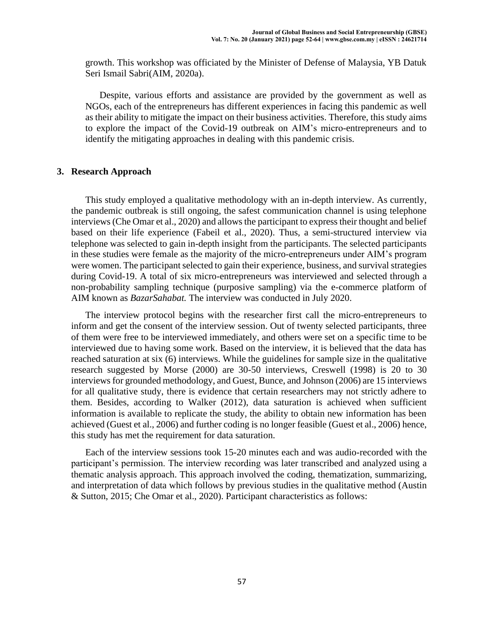growth. This workshop was officiated by the Minister of Defense of Malaysia, YB Datuk Seri Ismail Sabri(AIM, 2020a).

Despite, various efforts and assistance are provided by the government as well as NGOs, each of the entrepreneurs has different experiences in facing this pandemic as well as their ability to mitigate the impact on their business activities. Therefore, this study aims to explore the impact of the Covid-19 outbreak on AIM's micro-entrepreneurs and to identify the mitigating approaches in dealing with this pandemic crisis.

#### **3. Research Approach**

This study employed a qualitative methodology with an in-depth interview. As currently, the pandemic outbreak is still ongoing, the safest communication channel is using telephone interviews(Che Omar et al., 2020) and allows the participant to express their thought and belief based on their life experience (Fabeil et al., 2020). Thus, a semi-structured interview via telephone was selected to gain in-depth insight from the participants. The selected participants in these studies were female as the majority of the micro-entrepreneurs under AIM's program were women. The participant selected to gain their experience, business, and survival strategies during Covid-19. A total of six micro-entrepreneurs was interviewed and selected through a non-probability sampling technique (purposive sampling) via the e-commerce platform of AIM known as *BazarSahabat.* The interview was conducted in July 2020.

The interview protocol begins with the researcher first call the micro-entrepreneurs to inform and get the consent of the interview session. Out of twenty selected participants, three of them were free to be interviewed immediately, and others were set on a specific time to be interviewed due to having some work. Based on the interview, it is believed that the data has reached saturation at six (6) interviews. While the guidelines for sample size in the qualitative research suggested by Morse (2000) are 30-50 interviews, Creswell (1998) is 20 to 30 interviews for grounded methodology, and Guest, Bunce, and Johnson (2006) are 15 interviews for all qualitative study, there is evidence that certain researchers may not strictly adhere to them. Besides, according to Walker (2012), data saturation is achieved when sufficient information is available to replicate the study, the ability to obtain new information has been achieved (Guest et al., 2006) and further coding is no longer feasible (Guest et al., 2006) hence, this study has met the requirement for data saturation.

Each of the interview sessions took 15-20 minutes each and was audio-recorded with the participant's permission. The interview recording was later transcribed and analyzed using a thematic analysis approach. This approach involved the coding, thematization, summarizing, and interpretation of data which follows by previous studies in the qualitative method (Austin & Sutton, 2015; Che Omar et al., 2020). Participant characteristics as follows: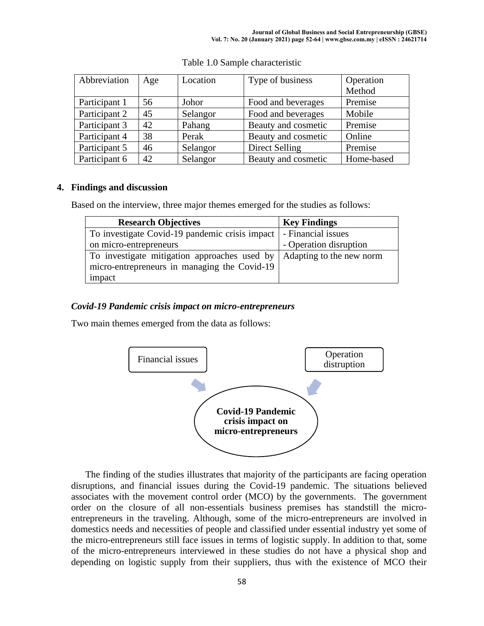| Abbreviation  | Age | Location | Type of business    | Operation  |
|---------------|-----|----------|---------------------|------------|
|               |     |          |                     | Method     |
| Participant 1 | 56  | Johor    | Food and beverages  | Premise    |
| Participant 2 | 45  | Selangor | Food and beverages  | Mobile     |
| Participant 3 | 42  | Pahang   | Beauty and cosmetic | Premise    |
| Participant 4 | 38  | Perak    | Beauty and cosmetic | Online     |
| Participant 5 | 46  | Selangor | Direct Selling      | Premise    |
| Participant 6 | 42  | Selangor | Beauty and cosmetic | Home-based |

|  |  | Table 1.0 Sample characteristic |
|--|--|---------------------------------|
|  |  |                                 |

# **4. Findings and discussion**

Based on the interview, three major themes emerged for the studies as follows:

| <b>Research Objectives</b>                     | <b>Key Findings</b>      |  |  |
|------------------------------------------------|--------------------------|--|--|
| To investigate Covid-19 pandemic crisis impact | - Financial issues       |  |  |
| on micro-entrepreneurs                         | - Operation disruption   |  |  |
| To investigate mitigation approaches used by   | Adapting to the new norm |  |  |
| micro-entrepreneurs in managing the Covid-19   |                          |  |  |
| impact                                         |                          |  |  |

# *Covid-19 Pandemic crisis impact on micro-entrepreneurs*

Two main themes emerged from the data as follows:



The finding of the studies illustrates that majority of the participants are facing operation disruptions, and financial issues during the Covid-19 pandemic. The situations believed associates with the movement control order (MCO) by the governments. The government order on the closure of all non-essentials business premises has standstill the microentrepreneurs in the traveling. Although, some of the micro-entrepreneurs are involved in domestics needs and necessities of people and classified under essential industry yet some of the micro-entrepreneurs still face issues in terms of logistic supply. In addition to that, some of the micro-entrepreneurs interviewed in these studies do not have a physical shop and depending on logistic supply from their suppliers, thus with the existence of MCO their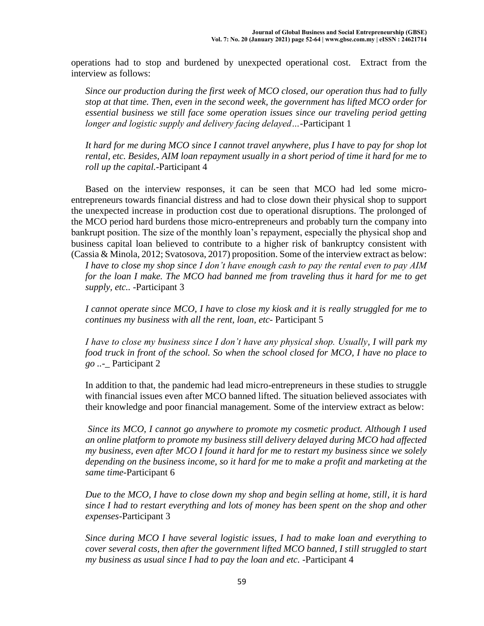operations had to stop and burdened by unexpected operational cost. Extract from the interview as follows:

*Since our production during the first week of MCO closed, our operation thus had to fully stop at that time. Then, even in the second week, the government has lifted MCO order for essential business we still face some operation issues since our traveling period getting longer and logistic supply and delivery facing delayed…-*Participant 1

*It hard for me during MCO since I cannot travel anywhere, plus I have to pay for shop lot rental, etc. Besides, AIM loan repayment usually in a short period of time it hard for me to roll up the capital.-*Participant 4

Based on the interview responses, it can be seen that MCO had led some microentrepreneurs towards financial distress and had to close down their physical shop to support the unexpected increase in production cost due to operational disruptions. The prolonged of the MCO period hard burdens those micro-entrepreneurs and probably turn the company into bankrupt position. The size of the monthly loan's repayment, especially the physical shop and business capital loan believed to contribute to a higher risk of bankruptcy consistent with (Cassia & Minola, 2012; Svatosova, 2017) proposition. Some of the interview extract as below:

*I have to close my shop since I don't have enough cash to pay the rental even to pay AIM for the loan I make. The MCO had banned me from traveling thus it hard for me to get supply, etc.. -*Participant 3

*I cannot operate since MCO, I have to close my kiosk and it is really struggled for me to continues my business with all the rent, loan, etc-* Participant 5

*I have to close my business since I don't have any physical shop. Usually, I will park my food truck in front of the school. So when the school closed for MCO, I have no place to go ..-\_* Participant 2

In addition to that, the pandemic had lead micro-entrepreneurs in these studies to struggle with financial issues even after MCO banned lifted. The situation believed associates with their knowledge and poor financial management. Some of the interview extract as below:

*Since its MCO, I cannot go anywhere to promote my cosmetic product. Although I used an online platform to promote my business still delivery delayed during MCO had affected my business, even after MCO I found it hard for me to restart my business since we solely depending on the business income, so it hard for me to make a profit and marketing at the same time-*Participant 6

*Due to the MCO, I have to close down my shop and begin selling at home, still, it is hard since I had to restart everything and lots of money has been spent on the shop and other expenses-*Participant 3

*Since during MCO I have several logistic issues, I had to make loan and everything to cover several costs, then after the government lifted MCO banned, I still struggled to start my business as usual since I had to pay the loan and etc. -*Participant 4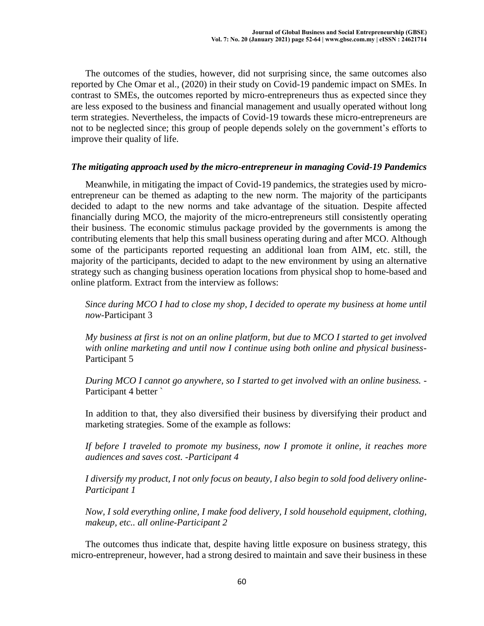The outcomes of the studies, however, did not surprising since, the same outcomes also reported by Che Omar et al., (2020) in their study on Covid-19 pandemic impact on SMEs. In contrast to SMEs, the outcomes reported by micro-entrepreneurs thus as expected since they are less exposed to the business and financial management and usually operated without long term strategies. Nevertheless, the impacts of Covid-19 towards these micro-entrepreneurs are not to be neglected since; this group of people depends solely on the government's efforts to improve their quality of life.

## *The mitigating approach used by the micro-entrepreneur in managing Covid-19 Pandemics*

Meanwhile, in mitigating the impact of Covid-19 pandemics, the strategies used by microentrepreneur can be themed as adapting to the new norm. The majority of the participants decided to adapt to the new norms and take advantage of the situation. Despite affected financially during MCO, the majority of the micro-entrepreneurs still consistently operating their business. The economic stimulus package provided by the governments is among the contributing elements that help this small business operating during and after MCO. Although some of the participants reported requesting an additional loan from AIM, etc. still, the majority of the participants, decided to adapt to the new environment by using an alternative strategy such as changing business operation locations from physical shop to home-based and online platform. Extract from the interview as follows:

*Since during MCO I had to close my shop, I decided to operate my business at home until now*-Participant 3

*My business at first is not on an online platform, but due to MCO I started to get involved with online marketing and until now I continue using both online and physical business*-Participant 5

*During MCO I cannot go anywhere, so I started to get involved with an online business.* - Participant 4 better `

In addition to that, they also diversified their business by diversifying their product and marketing strategies. Some of the example as follows:

*If before I traveled to promote my business, now I promote it online, it reaches more audiences and saves cost. -Participant 4*

*I diversify my product, I not only focus on beauty, I also begin to sold food delivery online-Participant 1*

*Now, I sold everything online, I make food delivery, I sold household equipment, clothing, makeup, etc.. all online-Participant 2*

The outcomes thus indicate that, despite having little exposure on business strategy, this micro-entrepreneur, however, had a strong desired to maintain and save their business in these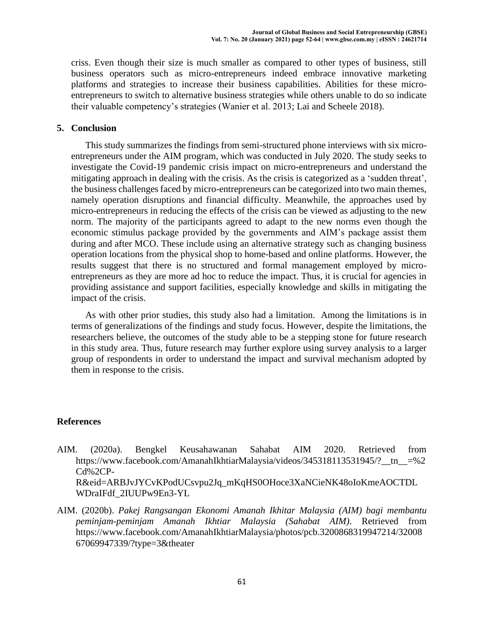criss. Even though their size is much smaller as compared to other types of business, still business operators such as micro-entrepreneurs indeed embrace innovative marketing platforms and strategies to increase their business capabilities. Abilities for these microentrepreneurs to switch to alternative business strategies while others unable to do so indicate their valuable competency's strategies (Wanier et al. 2013; Lai and Scheele 2018).

## **5. Conclusion**

This study summarizes the findings from semi-structured phone interviews with six microentrepreneurs under the AIM program, which was conducted in July 2020. The study seeks to investigate the Covid-19 pandemic crisis impact on micro-entrepreneurs and understand the mitigating approach in dealing with the crisis. As the crisis is categorized as a 'sudden threat', the business challenges faced by micro-entrepreneurs can be categorized into two main themes, namely operation disruptions and financial difficulty. Meanwhile, the approaches used by micro-entrepreneurs in reducing the effects of the crisis can be viewed as adjusting to the new norm. The majority of the participants agreed to adapt to the new norms even though the economic stimulus package provided by the governments and AIM's package assist them during and after MCO. These include using an alternative strategy such as changing business operation locations from the physical shop to home-based and online platforms. However, the results suggest that there is no structured and formal management employed by microentrepreneurs as they are more ad hoc to reduce the impact. Thus, it is crucial for agencies in providing assistance and support facilities, especially knowledge and skills in mitigating the impact of the crisis.

As with other prior studies, this study also had a limitation. Among the limitations is in terms of generalizations of the findings and study focus. However, despite the limitations, the researchers believe, the outcomes of the study able to be a stepping stone for future research in this study area. Thus, future research may further explore using survey analysis to a larger group of respondents in order to understand the impact and survival mechanism adopted by them in response to the crisis.

# **References**

- AIM. (2020a). Bengkel Keusahawanan Sahabat AIM 2020. Retrieved from https://www.facebook.com/AmanahIkhtiarMalaysia/videos/345318113531945/?\_\_tn\_\_=%2 Cd%2CP-R&eid=ARBJvJYCvKPodUCsvpu2Jq\_mKqHS0OHoce3XaNCieNK48oIoKmeAOCTDL WDraIFdf\_2IUUPw9En3-YL
- AIM. (2020b). *Pakej Rangsangan Ekonomi Amanah Ikhitar Malaysia (AIM) bagi membantu peminjam-peminjam Amanah Ikhtiar Malaysia (Sahabat AIM)*. Retrieved from https://www.facebook.com/AmanahIkhtiarMalaysia/photos/pcb.3200868319947214/32008 67069947339/?type=3&theater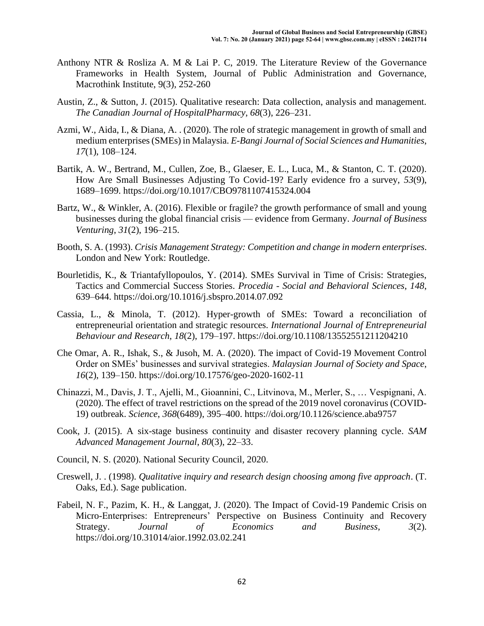- Anthony NTR & Rosliza A. M & Lai P. C, 2019. The Literature Review of the Governance Frameworks in Health System, Journal of Public Administration and Governance, Macrothink Institute, 9(3), 252-260
- Austin, Z., & Sutton, J. (2015). Qualitative research: Data collection, analysis and management. *The Canadian Journal of HospitalPharmacy*, *68*(3), 226–231.
- Azmi, W., Aida, I., & Diana, A. . (2020). The role of strategic management in growth of small and medium enterprises (SMEs) in Malaysia. *E-Bangi Journal of Social Sciences and Humanities*, *17*(1), 108–124.
- Bartik, A. W., Bertrand, M., Cullen, Zoe, B., Glaeser, E. L., Luca, M., & Stanton, C. T. (2020). How Are Small Businesses Adjusting To Covid-19? Early evidence fro a survey, *53*(9), 1689–1699. https://doi.org/10.1017/CBO9781107415324.004
- Bartz, W., & Winkler, A. (2016). Flexible or fragile? the growth performance of small and young businesses during the global financial crisis — evidence from Germany. *Journal of Business Venturing*, *31*(2), 196–215.
- Booth, S. A. (1993). *Crisis Management Strategy: Competition and change in modern enterprises*. London and New York: Routledge.
- Bourletidis, K., & Triantafyllopoulos, Y. (2014). SMEs Survival in Time of Crisis: Strategies, Tactics and Commercial Success Stories. *Procedia - Social and Behavioral Sciences*, *148*, 639–644. https://doi.org/10.1016/j.sbspro.2014.07.092
- Cassia, L., & Minola, T. (2012). Hyper-growth of SMEs: Toward a reconciliation of entrepreneurial orientation and strategic resources. *International Journal of Entrepreneurial Behaviour and Research*, *18*(2), 179–197. https://doi.org/10.1108/13552551211204210
- Che Omar, A. R., Ishak, S., & Jusoh, M. A. (2020). The impact of Covid-19 Movement Control Order on SMEs' businesses and survival strategies. *Malaysian Journal of Society and Space*, *16*(2), 139–150. https://doi.org/10.17576/geo-2020-1602-11
- Chinazzi, M., Davis, J. T., Ajelli, M., Gioannini, C., Litvinova, M., Merler, S., … Vespignani, A. (2020). The effect of travel restrictions on the spread of the 2019 novel coronavirus (COVID-19) outbreak. *Science*, *368*(6489), 395–400. https://doi.org/10.1126/science.aba9757
- Cook, J. (2015). A six-stage business continuity and disaster recovery planning cycle. *SAM Advanced Management Journal*, *80*(3), 22–33.
- Council, N. S. (2020). National Security Council, 2020.
- Creswell, J. . (1998). *Qualitative inquiry and research design choosing among five approach*. (T. Oaks, Ed.). Sage publication.
- Fabeil, N. F., Pazim, K. H., & Langgat, J. (2020). The Impact of Covid-19 Pandemic Crisis on Micro-Enterprises: Entrepreneurs' Perspective on Business Continuity and Recovery Strategy. *Journal of Economics and Business*, *3*(2). https://doi.org/10.31014/aior.1992.03.02.241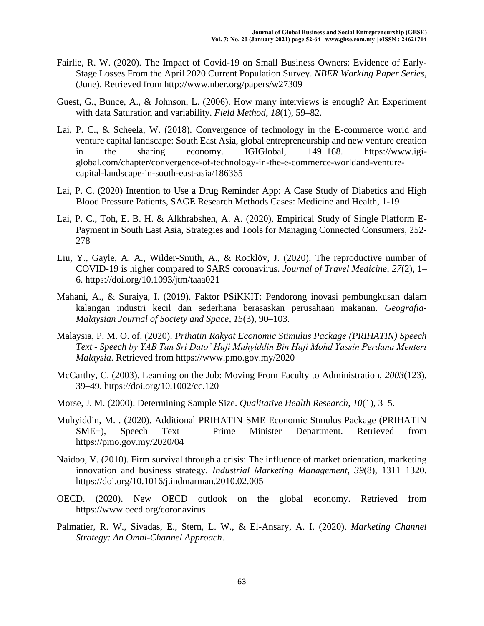- Fairlie, R. W. (2020). The Impact of Covid-19 on Small Business Owners: Evidence of Early-Stage Losses From the April 2020 Current Population Survey. *NBER Working Paper Series*, (June). Retrieved from http://www.nber.org/papers/w27309
- Guest, G., Bunce, A., & Johnson, L. (2006). How many interviews is enough? An Experiment with data Saturation and variability. *Field Method*, *18*(1), 59–82.
- Lai, P. C., & Scheela, W. (2018). Convergence of technology in the E-commerce world and venture capital landscape: South East Asia, global entrepreneurship and new venture creation in the sharing economy. IGIGlobal, 149–168. https://www.igiglobal.com/chapter/convergence-of-technology-in-the-e-commerce-worldand-venturecapital-landscape-in-south-east-asia/186365
- Lai, P. C. (2020) Intention to Use a Drug Reminder App: A Case Study of Diabetics and High Blood Pressure Patients, SAGE Research Methods Cases: Medicine and Health, 1-19
- Lai, P. C., Toh, E. B. H. & Alkhrabsheh, A. A. (2020), Empirical Study of Single Platform E-Payment in South East Asia, Strategies and Tools for Managing Connected Consumers, 252- 278
- Liu, Y., Gayle, A. A., Wilder-Smith, A., & Rocklöv, J. (2020). The reproductive number of COVID-19 is higher compared to SARS coronavirus. *Journal of Travel Medicine*, *27*(2), 1– 6. https://doi.org/10.1093/jtm/taaa021
- Mahani, A., & Suraiya, I. (2019). Faktor PSiKKIT: Pendorong inovasi pembungkusan dalam kalangan industri kecil dan sederhana berasaskan perusahaan makanan. *Geografia-Malaysian Journal of Society and Space*, *15*(3), 90–103.
- Malaysia, P. M. O. of. (2020). *Prihatin Rakyat Economic Stimulus Package (PRIHATIN) Speech Text - Speech by YAB Tan Sri Dato' Haji Muhyiddin Bin Haji Mohd Yassin Perdana Menteri Malaysia*. Retrieved from https://www.pmo.gov.my/2020
- McCarthy, C. (2003). Learning on the Job: Moving From Faculty to Administration, *2003*(123), 39–49. https://doi.org/10.1002/cc.120
- Morse, J. M. (2000). Determining Sample Size. *Qualitative Health Research*, *10*(1), 3–5.
- Muhyiddin, M. . (2020). Additional PRIHATIN SME Economic Stmulus Package (PRIHATIN SME+), Speech Text – Prime Minister Department. Retrieved from https://pmo.gov.my/2020/04
- Naidoo, V. (2010). Firm survival through a crisis: The influence of market orientation, marketing innovation and business strategy. *Industrial Marketing Management*, *39*(8), 1311–1320. https://doi.org/10.1016/j.indmarman.2010.02.005
- OECD. (2020). New OECD outlook on the global economy. Retrieved from https://www.oecd.org/coronavirus
- Palmatier, R. W., Sivadas, E., Stern, L. W., & El-Ansary, A. I. (2020). *Marketing Channel Strategy: An Omni-Channel Approach*.